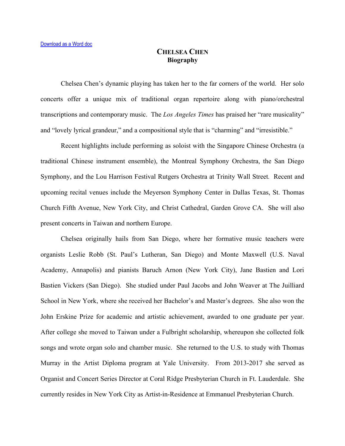## **CHELSEA CHEN Biography**

Chelsea Chen's dynamic playing has taken her to the far corners of the world. Her solo concerts offer a unique mix of traditional organ repertoire along with piano/orchestral transcriptions and contemporary music. The *Los Angeles Times* has praised her "rare musicality" and "lovely lyrical grandeur," and a compositional style that is "charming" and "irresistible."

Recent highlights include performing as soloist with the Singapore Chinese Orchestra (a traditional Chinese instrument ensemble), the Montreal Symphony Orchestra, the San Diego Symphony, and the Lou Harrison Festival Rutgers Orchestra at Trinity Wall Street*.* Recent and upcoming recital venues include the Meyerson Symphony Center in Dallas Texas, St. Thomas Church Fifth Avenue, New York City, and Christ Cathedral, Garden Grove CA. She will also present concerts in Taiwan and northern Europe.

Chelsea originally hails from San Diego, where her formative music teachers were organists Leslie Robb (St. Paul's Lutheran, San Diego) and Monte Maxwell (U.S. Naval Academy, Annapolis) and pianists Baruch Arnon (New York City), Jane Bastien and Lori Bastien Vickers (San Diego). She studied under Paul Jacobs and John Weaver at The Juilliard School in New York, where she received her Bachelor's and Master's degrees. She also won the John Erskine Prize for academic and artistic achievement, awarded to one graduate per year. After college she moved to Taiwan under a Fulbright scholarship, whereupon she collected folk songs and wrote organ solo and chamber music. She returned to the U.S. to study with Thomas Murray in the Artist Diploma program at Yale University. From 2013-2017 she served as Organist and Concert Series Director at Coral Ridge Presbyterian Church in Ft. Lauderdale. She currently resides in New York City as Artist-in-Residence at Emmanuel Presbyterian Church.